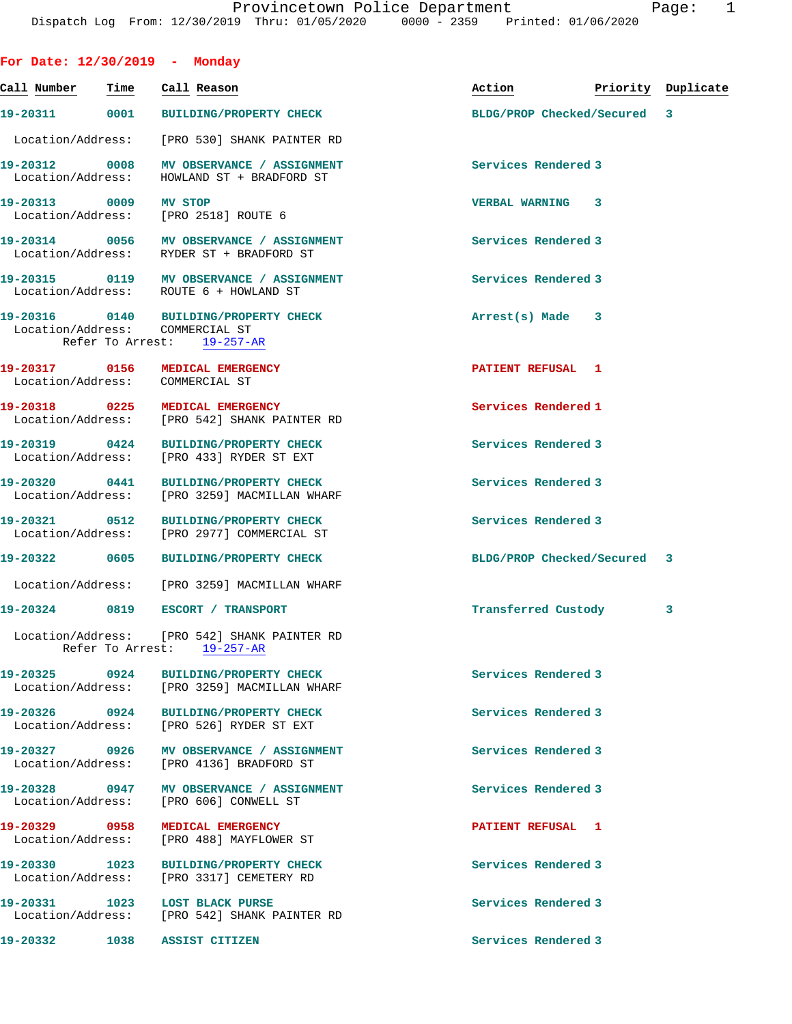| For Date: $12/30/2019$ - Monday         |                                                                                                                |                             |                    |   |
|-----------------------------------------|----------------------------------------------------------------------------------------------------------------|-----------------------------|--------------------|---|
| <u>Call Number – Time – Call Reason</u> |                                                                                                                | Action                      | Priority Duplicate |   |
|                                         | 19-20311 0001 BUILDING/PROPERTY CHECK                                                                          | BLDG/PROP Checked/Secured 3 |                    |   |
|                                         | Location/Address: [PRO 530] SHANK PAINTER RD                                                                   |                             |                    |   |
|                                         | 19-20312 0008 MV OBSERVANCE / ASSIGNMENT<br>Location/Address: HOWLAND ST + BRADFORD ST                         | <b>Services Rendered 3</b>  |                    |   |
| 19-20313 0009 MV STOP                   | Location/Address: [PRO 2518] ROUTE 6                                                                           | <b>VERBAL WARNING 3</b>     |                    |   |
|                                         | 19-20314 0056 MV OBSERVANCE / ASSIGNMENT<br>Location/Address: RYDER ST + BRADFORD ST                           | Services Rendered 3         |                    |   |
|                                         | 19-20315 0119 MV OBSERVANCE / ASSIGNMENT<br>Location/Address: ROUTE 6 + HOWLAND ST                             | Services Rendered 3         |                    |   |
| Location/Address: COMMERCIAL ST         | 19-20316 0140 BUILDING/PROPERTY CHECK<br>Refer To Arrest: 19-257-AR                                            | Arrest(s) Made 3            |                    |   |
| Location/Address: COMMERCIAL ST         | 19-20317 0156 MEDICAL EMERGENCY                                                                                | PATIENT REFUSAL 1           |                    |   |
|                                         | 19-20318  0225  MEDICAL EMERGENCY<br>Location/Address: [PRO 542] SHANK PAINTER RD                              | Services Rendered 1         |                    |   |
|                                         | 19-20319 0424 BUILDING/PROPERTY CHECK<br>Location/Address: [PRO 433] RYDER ST EXT                              | Services Rendered 3         |                    |   |
|                                         | 19-20320 0441 BUILDING/PROPERTY CHECK<br>Location/Address: [PRO 3259] MACMILLAN WHARF                          | Services Rendered 3         |                    |   |
|                                         | 19-20321 0512 BUILDING/PROPERTY CHECK<br>Location/Address: [PRO 2977] COMMERCIAL ST                            | Services Rendered 3         |                    |   |
|                                         | 19-20322 0605 BUILDING/PROPERTY CHECK                                                                          | BLDG/PROP Checked/Secured 3 |                    |   |
|                                         | Location/Address: [PRO 3259] MACMILLAN WHARF                                                                   |                             |                    |   |
|                                         | 19-20324 0819 ESCORT / TRANSPORT<br>Location/Address: [PRO 542] SHANK PAINTER RD<br>Refer To Arrest: 19-257-AR | Transferred Custody         |                    | 3 |
|                                         | 19-20325 0924 BUILDING/PROPERTY CHECK<br>Location/Address: [PRO 3259] MACMILLAN WHARF                          | Services Rendered 3         |                    |   |
|                                         | 19-20326 0924 BUILDING/PROPERTY CHECK<br>Location/Address: [PRO 526] RYDER ST EXT                              | Services Rendered 3         |                    |   |
|                                         | 19-20327 0926 MV OBSERVANCE / ASSIGNMENT<br>Location/Address: [PRO 4136] BRADFORD ST                           | Services Rendered 3         |                    |   |
|                                         | 19-20328 0947 MV OBSERVANCE / ASSIGNMENT<br>Location/Address: [PRO 606] CONWELL ST                             | Services Rendered 3         |                    |   |
| Location/Address:                       | 19-20329 0958 MEDICAL EMERGENCY<br>[PRO 488] MAYFLOWER ST                                                      | PATIENT REFUSAL 1           |                    |   |
|                                         | 19-20330 1023 BUILDING/PROPERTY CHECK<br>Location/Address: [PRO 3317] CEMETERY RD                              | Services Rendered 3         |                    |   |
|                                         | 19-20331 1023 LOST BLACK PURSE<br>Location/Address: [PRO 542] SHANK PAINTER RD                                 | Services Rendered 3         |                    |   |

**19-20332 1038 ASSIST CITIZEN Services Rendered 3**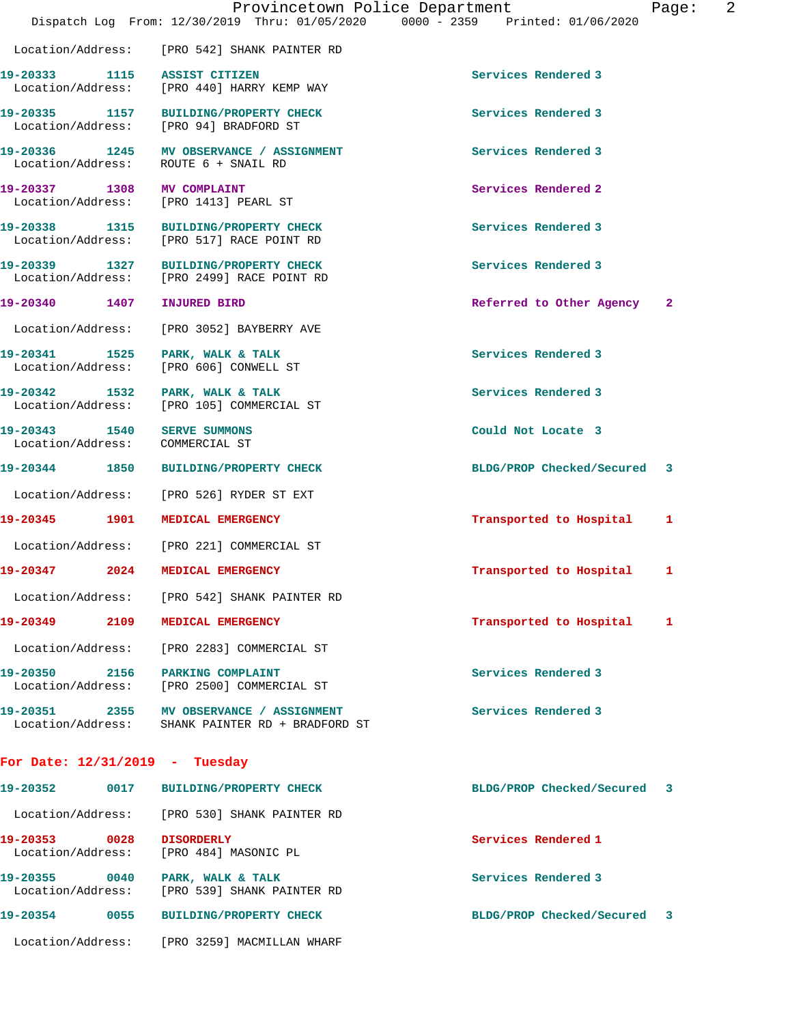|                                       | Dispatch Log From: 12/30/2019 Thru: 01/05/2020 0000 - 2359 Printed: 01/06/2020               | Provincetown Police Department | 2<br>Page:   |
|---------------------------------------|----------------------------------------------------------------------------------------------|--------------------------------|--------------|
| Location/Address:                     | [PRO 542] SHANK PAINTER RD                                                                   |                                |              |
| 19-20333 1115 ASSIST CITIZEN          | Location/Address: [PRO 440] HARRY KEMP WAY                                                   | Services Rendered 3            |              |
|                                       | 19-20335 1157 BUILDING/PROPERTY CHECK<br>Location/Address: [PRO 94] BRADFORD ST              | Services Rendered 3            |              |
| Location/Address:                     | 19-20336 1245 MV OBSERVANCE / ASSIGNMENT<br>ROUTE 6 + SNAIL RD                               | Services Rendered 3            |              |
| 19-20337 1308                         | <b>MV COMPLAINT</b><br>Location/Address: [PRO 1413] PEARL ST                                 | Services Rendered 2            |              |
|                                       | 19-20338 1315 BUILDING/PROPERTY CHECK<br>Location/Address: [PRO 517] RACE POINT RD           | Services Rendered 3            |              |
|                                       | 19-20339 1327 BUILDING/PROPERTY CHECK<br>Location/Address: [PRO 2499] RACE POINT RD          | Services Rendered 3            |              |
| 19-20340 1407                         | <b>INJURED BIRD</b>                                                                          | Referred to Other Agency       | $\mathbf{2}$ |
| Location/Address:                     | [PRO 3052] BAYBERRY AVE                                                                      |                                |              |
| 1525<br>19-20341<br>Location/Address: | PARK, WALK & TALK<br>[PRO 606] CONWELL ST                                                    | Services Rendered 3            |              |
| 19-20342 1532<br>Location/Address:    | PARK, WALK & TALK<br>[PRO 105] COMMERCIAL ST                                                 | Services Rendered 3            |              |
| 19-20343 1540<br>Location/Address:    | <b>SERVE SUMMONS</b><br>COMMERCIAL ST                                                        | Could Not Locate 3             |              |
| 19-20344 1850                         | <b>BUILDING/PROPERTY CHECK</b>                                                               | BLDG/PROP Checked/Secured 3    |              |
| Location/Address:                     | [PRO 526] RYDER ST EXT                                                                       |                                |              |
| 19-20345 1901                         | MEDICAL EMERGENCY                                                                            | Transported to Hospital        | 1            |
| Location/Address:                     | [PRO 221] COMMERCIAL ST                                                                      |                                |              |
| 19-20347<br>2024                      | MEDICAL EMERGENCY                                                                            | Transported to Hospital        | 1            |
|                                       | Location/Address: [PRO 542] SHANK PAINTER RD                                                 |                                |              |
|                                       | 19-20349 2109 MEDICAL EMERGENCY                                                              | Transported to Hospital        | 1            |
| Location/Address:                     | [PRO 2283] COMMERCIAL ST                                                                     |                                |              |
|                                       | 19-20350 2156 PARKING COMPLAINT<br>Location/Address: [PRO 2500] COMMERCIAL ST                | Services Rendered 3            |              |
|                                       | 19-20351 2355 MV OBSERVANCE / ASSIGNMENT<br>Location/Address: SHANK PAINTER RD + BRADFORD ST | Services Rendered 3            |              |
| For Date: $12/31/2019$ - Tuesday      |                                                                                              |                                |              |
| 19-20352<br>0017                      | <b>BUILDING/PROPERTY CHECK</b>                                                               | BLDG/PROP Checked/Secured      | 3            |
|                                       | Location/Address: [PRO 530] SHANK PAINTER RD                                                 |                                |              |
| 19-20353 0028<br>Location/Address:    | <b>DISORDERLY</b><br>[PRO 484] MASONIC PL                                                    | Services Rendered 1            |              |
|                                       | 19-20355 0040 PARK, WALK & TALK<br>Location/Address: [PRO 539] SHANK PAINTER RD              | Services Rendered 3            |              |
|                                       | 19-20354 0055 BUILDING/PROPERTY CHECK                                                        | BLDG/PROP Checked/Secured 3    |              |
|                                       | Location/Address: [PRO 3259] MACMILLAN WHARF                                                 |                                |              |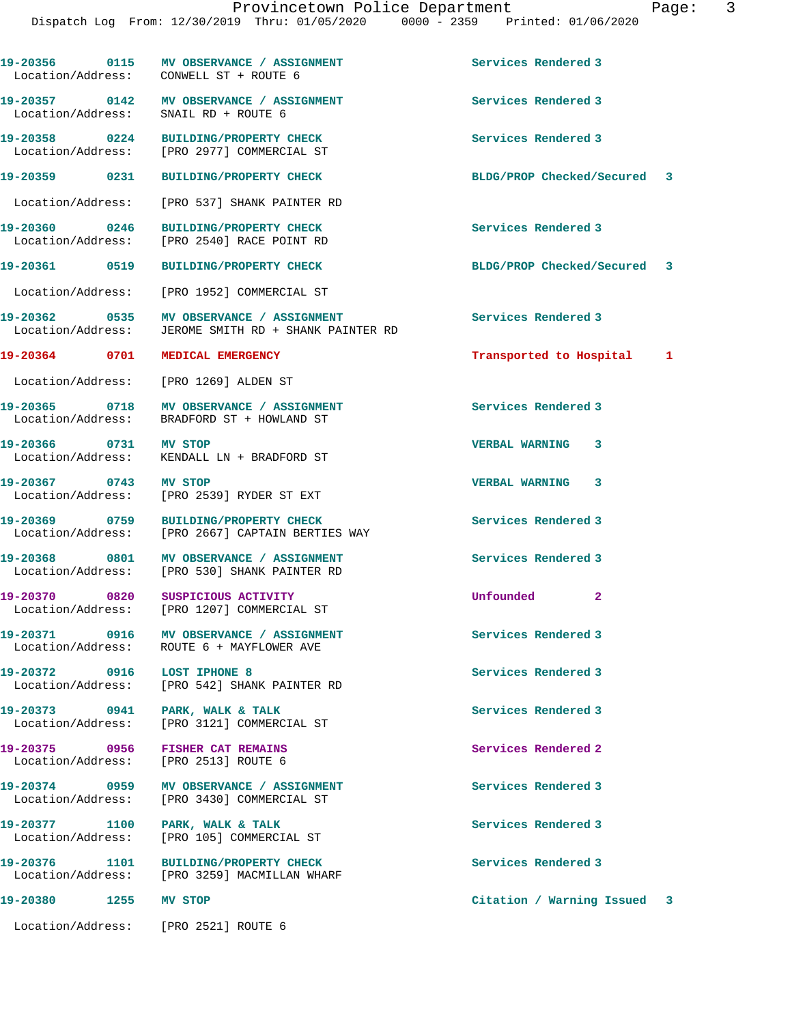**19-20356 0115 MV OBSERVANCE / ASSIGNMENT Services Rendered 3** 

**19-20357 0142 MV OBSERVANCE / ASSIGNMENT Services Rendered 3** 

**19-20358 0224 BUILDING/PROPERTY CHECK Services Rendered 3**  Location/Address: [PRO 2977] COMMERCIAL ST **19-20359 0231 BUILDING/PROPERTY CHECK BLDG/PROP Checked/Secured 3** Location/Address: [PRO 537] SHANK PAINTER RD **19-20360 0246 BUILDING/PROPERTY CHECK Services Rendered 3**  Location/Address: [PRO 2540] RACE POINT RD **19-20361 0519 BUILDING/PROPERTY CHECK BLDG/PROP Checked/Secured 3** Location/Address: [PRO 1952] COMMERCIAL ST **19-20362 0535 MV OBSERVANCE / ASSIGNMENT Services Rendered 3**  Location/Address: JEROME SMITH RD + SHANK PAINTER RD **19-20364 0701 MEDICAL EMERGENCY Transported to Hospital 1** Location/Address: [PRO 1269] ALDEN ST **19-20365 0718 MV OBSERVANCE / ASSIGNMENT Services Rendered 3**  Location/Address: BRADFORD ST + HOWLAND ST **19-20366 0731 MV STOP VERBAL WARNING 3**  Location/Address: KENDALL LN + BRADFORD ST **19-20367 0743 MV STOP VERBAL WARNING 3**  Location/Address: [PRO 2539] RYDER ST EXT **19-20369 0759 BUILDING/PROPERTY CHECK Services Rendered 3**  Location/Address: [PRO 2667] CAPTAIN BERTIES WAY 19-20368 0801 MV OBSERVANCE / ASSIGNMENT Services Rendered 3 Location/Address: [PRO 530] SHANK PAINTER RD **19-20370 0820 SUSPICIOUS ACTIVITY Unfounded 2**  Location/Address: [PRO 1207] COMMERCIAL ST **19-20371 0916 MV OBSERVANCE / ASSIGNMENT Services Rendered 3**  Location/Address: ROUTE 6 + MAYFLOWER AVE **19-20372 0916 LOST IPHONE 8 Services Rendered 3**  Location/Address: [PRO 542] SHANK PAINTER RD 19-20373 0941 PARK, WALK & TALK **Services Rendered 3** Services Rendered 3 Location/Address: [PRO 3121] COMMERCIAL ST [PRO 3121] COMMERCIAL ST **19-20375 0956 FISHER CAT REMAINS Services Rendered 2**  Location/Address: [PRO 2513] ROUTE 6 **19-20374 0959 MV OBSERVANCE / ASSIGNMENT Services Rendered 3**  Location/Address: [PRO 3430] COMMERCIAL ST 19-20377 1100 PARK, WALK & TALK **Services Rendered 3**  Location/Address: [PRO 105] COMMERCIAL ST **19-20376 1101 BUILDING/PROPERTY CHECK Services Rendered 3**  Location/Address: [PRO 3259] MACMILLAN WHARF **19-20380 1255 MV STOP Citation / Warning Issued 3** Location/Address: [PRO 2521] ROUTE 6

SNAIL RD + ROUTE 6

Location/Address: CONWELL ST + ROUTE 6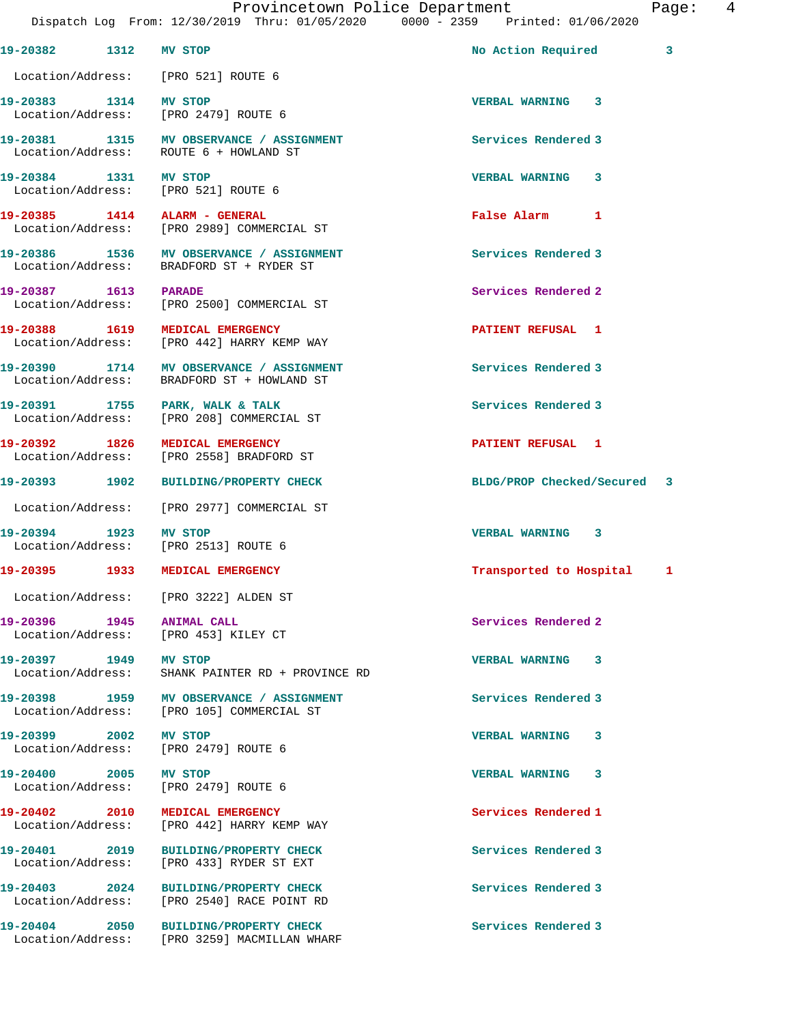| 19-20382 1312 MV STOP         |                                                                                        | No Action Required          | 3 |
|-------------------------------|----------------------------------------------------------------------------------------|-----------------------------|---|
|                               | Location/Address: [PRO 521] ROUTE 6                                                    |                             |   |
| 19-20383 1314 MV STOP         | Location/Address: [PRO 2479] ROUTE 6                                                   | <b>VERBAL WARNING 3</b>     |   |
|                               | 19-20381 1315 MV OBSERVANCE / ASSIGNMENT<br>Location/Address: ROUTE 6 + HOWLAND ST     | Services Rendered 3         |   |
| 19-20384 1331 MV STOP         | Location/Address: [PRO 521] ROUTE 6                                                    | VERBAL WARNING 3            |   |
|                               | 19-20385 1414 ALARM - GENERAL<br>Location/Address: [PRO 2989] COMMERCIAL ST            | False Alarm 1               |   |
|                               | 19-20386 1536 MV OBSERVANCE / ASSIGNMENT<br>Location/Address: BRADFORD ST + RYDER ST   | Services Rendered 3         |   |
| 19-20387 1613 PARADE          | Location/Address: [PRO 2500] COMMERCIAL ST                                             | Services Rendered 2         |   |
| 19-20388 1619                 | <b>MEDICAL EMERGENCY</b><br>Location/Address: [PRO 442] HARRY KEMP WAY                 | PATIENT REFUSAL 1           |   |
|                               | 19-20390 1714 MV OBSERVANCE / ASSIGNMENT<br>Location/Address: BRADFORD ST + HOWLAND ST | Services Rendered 3         |   |
|                               | 19-20391 1755 PARK, WALK & TALK<br>Location/Address: [PRO 208] COMMERCIAL ST           | Services Rendered 3         |   |
| 19-20392 1826                 | MEDICAL EMERGENCY<br>Location/Address: [PRO 2558] BRADFORD ST                          | PATIENT REFUSAL 1           |   |
| 19-20393 1902                 | <b>BUILDING/PROPERTY CHECK</b>                                                         | BLDG/PROP Checked/Secured 3 |   |
|                               | Location/Address: [PRO 2977] COMMERCIAL ST                                             |                             |   |
| 19-20394 1923 MV STOP         | Location/Address: [PRO 2513] ROUTE 6                                                   | VERBAL WARNING 3            |   |
|                               | 19-20395 1933 MEDICAL EMERGENCY                                                        | Transported to Hospital 1   |   |
|                               | Location/Address: [PRO 3222] ALDEN ST                                                  |                             |   |
| 19-20396   1945   ANIMAL CALL | Location/Address: [PRO 453] KILEY CT                                                   | Services Rendered 2         |   |
| 19-20397 1949 MV STOP         | Location/Address: SHANK PAINTER RD + PROVINCE RD                                       | VERBAL WARNING 3            |   |
|                               | 19-20398 1959 MV OBSERVANCE / ASSIGNMENT<br>Location/Address: [PRO 105] COMMERCIAL ST  | Services Rendered 3         |   |
| 19-20399 2002 MV STOP         | Location/Address: [PRO 2479] ROUTE 6                                                   | VERBAL WARNING 3            |   |
| 19-20400 2005 MV STOP         | Location/Address: [PRO 2479] ROUTE 6                                                   | VERBAL WARNING 3            |   |
|                               | 19-20402 2010 MEDICAL EMERGENCY<br>Location/Address: [PRO 442] HARRY KEMP WAY          | Services Rendered 1         |   |
| 19-20401 2019                 | <b>BUILDING/PROPERTY CHECK</b><br>Location/Address: [PRO 433] RYDER ST EXT             | Services Rendered 3         |   |
| 19-20403 2024                 | BUILDING/PROPERTY CHECK<br>Location/Address: [PRO 2540] RACE POINT RD                  | Services Rendered 3         |   |
| 19-20404 2050                 | <b>BUILDING/PROPERTY CHECK</b>                                                         | Services Rendered 3         |   |

Location/Address: [PRO 3259] MACMILLAN WHARF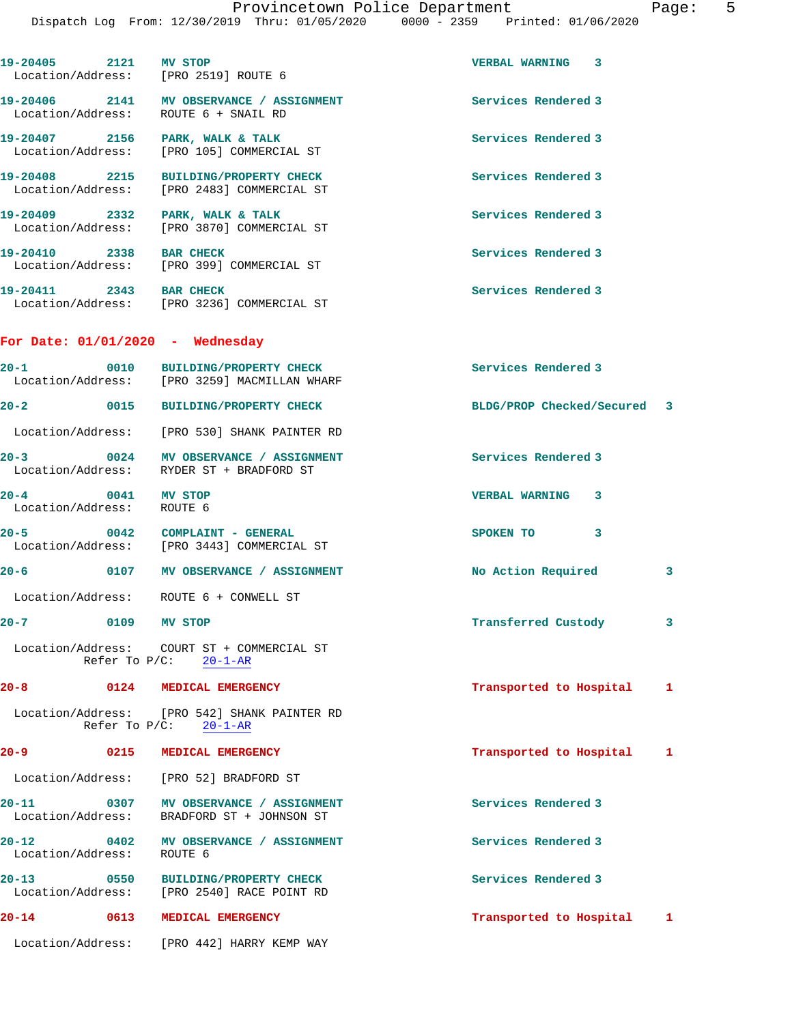| 19-20405 2121 MV STOP                                 | Location/Address: [PRO 2519] ROUTE 6                                                | <b>VERBAL WARNING 3</b>      |  |
|-------------------------------------------------------|-------------------------------------------------------------------------------------|------------------------------|--|
|                                                       | 19-20406 2141 MV OBSERVANCE / ASSIGNMENT<br>Location/Address: ROUTE 6 + SNAIL RD    | <b>Services Rendered 3</b>   |  |
|                                                       | 19-20407 2156 PARK, WALK & TALK<br>Location/Address: [PRO 105] COMMERCIAL ST        | Services Rendered 3          |  |
|                                                       | 19-20408 2215 BUILDING/PROPERTY CHECK<br>Location/Address: [PRO 2483] COMMERCIAL ST | Services Rendered 3          |  |
|                                                       | 19-20409 2332 PARK, WALK & TALK<br>Location/Address: [PRO 3870] COMMERCIAL ST       | Services Rendered 3          |  |
| 19-20410 2338 BAR CHECK                               | Location/Address: [PRO 399] COMMERCIAL ST                                           | Services Rendered 3          |  |
| 19-20411 2343 BAR CHECK                               | Location/Address: [PRO 3236] COMMERCIAL ST                                          | Services Rendered 3          |  |
| For Date: $01/01/2020$ - Wednesday                    |                                                                                     |                              |  |
| $20 - 1$                                              | 0010 BUILDING/PROPERTY CHECK<br>Location/Address: [PRO 3259] MACMILLAN WHARF        | Services Rendered 3          |  |
| $20 - 2$                                              | 0015 BUILDING/PROPERTY CHECK                                                        | BLDG/PROP Checked/Secured 3  |  |
|                                                       | Location/Address: [PRO 530] SHANK PAINTER RD                                        |                              |  |
|                                                       | 20-3 0024 MV OBSERVANCE / ASSIGNMENT<br>Location/Address: RYDER ST + BRADFORD ST    | Services Rendered 3          |  |
| 0041 MV STOP<br>$20 - 4$<br>Location/Address: ROUTE 6 |                                                                                     | <b>VERBAL WARNING 3</b>      |  |
|                                                       | 20-5 0042 COMPLAINT - GENERAL<br>Location/Address: [PRO 3443] COMMERCIAL ST         | SPOKEN TO<br>3               |  |
|                                                       | 20-6 0107 MV OBSERVANCE / ASSIGNMENT                                                | No Action Required<br>3      |  |
|                                                       | Location/Address: ROUTE 6 + CONWELL ST                                              |                              |  |
| 0109 MV STOP<br>$20 - 7$                              |                                                                                     | Transferred Custody<br>3     |  |
|                                                       | Location/Address: COURT ST + COMMERCIAL ST<br>Refer To $P/C: 20-1-AR$               |                              |  |
| $20 - 8$                                              | 0124 MEDICAL EMERGENCY                                                              | Transported to Hospital<br>1 |  |
|                                                       | Location/Address: [PRO 542] SHANK PAINTER RD<br>Refer To $P/C$ : 20-1-AR            |                              |  |
| $20 - 9$                                              | 0215 MEDICAL EMERGENCY                                                              | Transported to Hospital<br>1 |  |
|                                                       | Location/Address: [PRO 52] BRADFORD ST                                              |                              |  |
| $20 - 11$<br>$\sim$ 0307<br>Location/Address:         | MV OBSERVANCE / ASSIGNMENT<br>BRADFORD ST + JOHNSON ST                              | Services Rendered 3          |  |
| $20 - 12$<br>0402<br>Location/Address:                | MV OBSERVANCE / ASSIGNMENT<br>ROUTE 6                                               | Services Rendered 3          |  |
| $20 - 13$<br>$\sim$ 0550                              | BUILDING/PROPERTY CHECK<br>Location/Address: [PRO 2540] RACE POINT RD               | Services Rendered 3          |  |
| $20 - 14$                                             | 0613 MEDICAL EMERGENCY                                                              | Transported to Hospital<br>1 |  |
| Location/Address:                                     | [PRO 442] HARRY KEMP WAY                                                            |                              |  |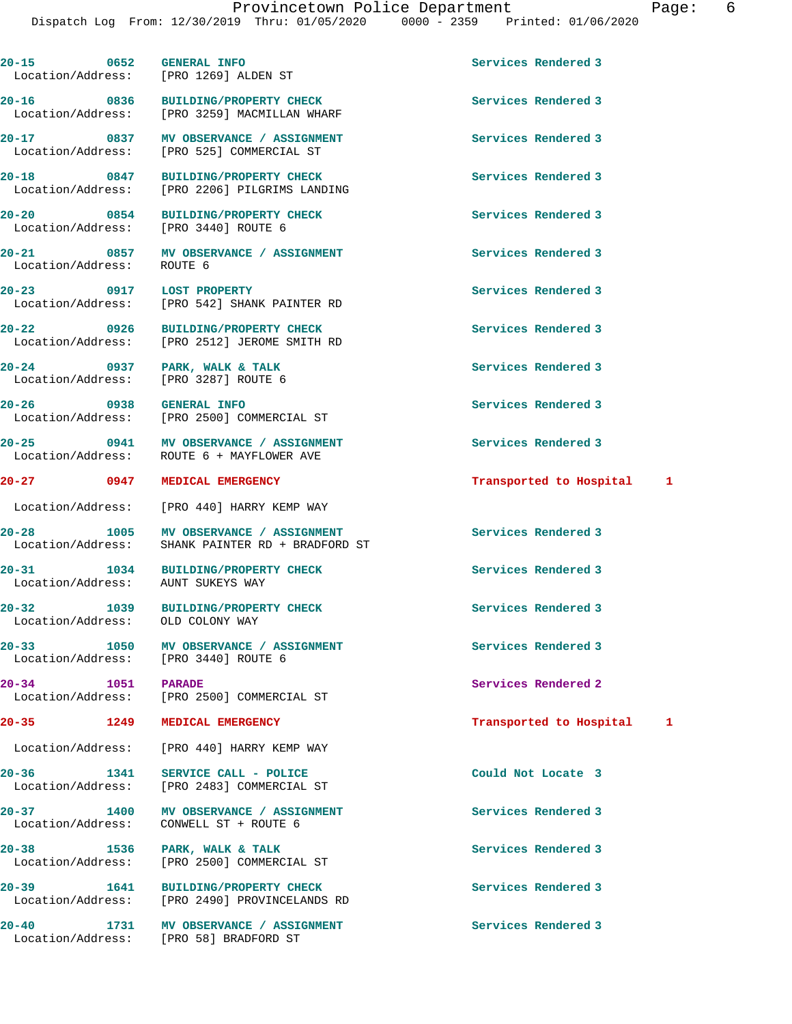**20-15 0652 GENERAL INFO Services Rendered 3**  Location/Address: [PRO 1269] ALDEN ST **20-16 0836 BUILDING/PROPERTY CHECK Services Rendered 3**  Location/Address: [PRO 3259] MACMILLAN WHARF **20-17 0837 MV OBSERVANCE / ASSIGNMENT Services Rendered 3**  Location/Address: [PRO 525] COMMERCIAL ST 20-18 0847 BUILDING/PROPERTY CHECK Services Rendered 3<br>
Location/Address: [PRO 2206] PILGRIMS LANDING [PRO 2206] PILGRIMS LANDING **20-20 0854 BUILDING/PROPERTY CHECK Services Rendered 3**  Location/Address: [PRO 3440] ROUTE 6 20-21 **1200 0857 MV OBSERVANCE / ASSIGNMENT** Services Rendered 3 Location/Address: ROUTE 6 **20-23 0917 LOST PROPERTY Services Rendered 3**  Location/Address: [PRO 542] SHANK PAINTER RD **20-22 0926 BUILDING/PROPERTY CHECK Services Rendered 3**  [PRO 2512] JEROME SMITH RD **20-24 0937 PARK, WALK & TALK Services Rendered 3**  Location/Address: [PRO 3287] ROUTE 6 **20-26 0938 GENERAL INFO Services Rendered 3**  Location/Address: [PRO 2500] COMMERCIAL ST **20-25 0941 MV OBSERVANCE / ASSIGNMENT Services Rendered 3**  Location/Address: ROUTE 6 + MAYFLOWER AVE **20-27 0947 MEDICAL EMERGENCY Transported to Hospital 1** Location/Address: [PRO 440] HARRY KEMP WAY 20-28 **1005 MV OBSERVANCE / ASSIGNMENT** Services Rendered 3 Location/Address: SHANK PAINTER RD + BRADFORD ST **20-31 1034 BUILDING/PROPERTY CHECK Services Rendered 3**  Location/Address: AUNT SUKEYS WAY **20-32 1039 BUILDING/PROPERTY CHECK Services Rendered 3**  Location/Address: **20-33 1050 MV OBSERVANCE / ASSIGNMENT Services Rendered 3**  Location/Address: [PRO 3440] ROUTE 6 **20-34 1051 PARADE Services Rendered 2**  Location/Address: [PRO 2500] COMMERCIAL ST **20-35 1249 MEDICAL EMERGENCY Transported to Hospital 1** Location/Address: [PRO 440] HARRY KEMP WAY **20-36 1341 SERVICE CALL - POLICE Could Not Locate 3**  Location/Address: [PRO 2483] COMMERCIAL ST **20-37 1400 MV OBSERVANCE / ASSIGNMENT Services Rendered 3**  Location/Address: CONWELL ST + ROUTE 6 **20-38 1536 PARK, WALK & TALK Services Rendered 3**  Location/Address: [PRO 2500] COMMERCIAL ST 20-39 1641 BUILDING/PROPERTY CHECK Services Rendered 3<br>
Location/Address: [PRO 2490] PROVINCELANDS RD [PRO 2490] PROVINCELANDS RD

**20-40 1731 MV OBSERVANCE / ASSIGNMENT Services Rendered 3**  Location/Address: [PRO 58] BRADFORD ST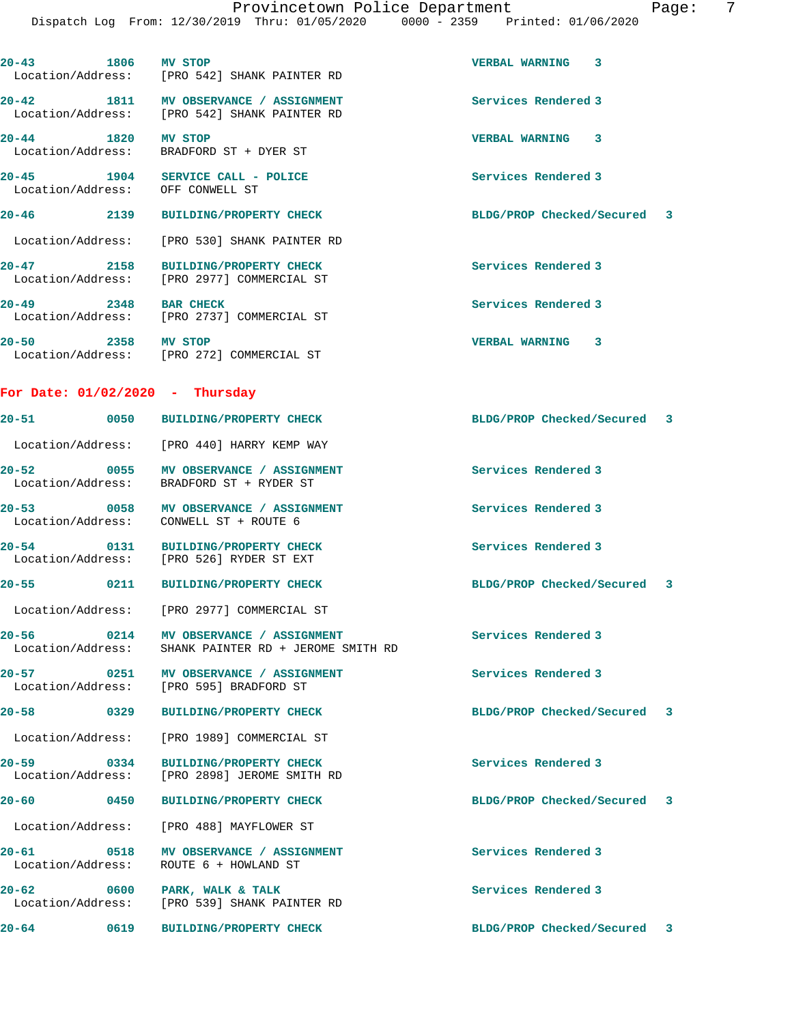**20-43 1806 MV STOP VERBAL WARNING 3** 

 Location/Address: [PRO 542] SHANK PAINTER RD **20-42 1811 MV OBSERVANCE / ASSIGNMENT Services Rendered 3**  Location/Address: [PRO 542] SHANK PAINTER RD **20-44 1820 MV STOP VERBAL WARNING 3**  Location/Address: BRADFORD ST + DYER ST **20-45 1904 SERVICE CALL - POLICE Services Rendered 3**  Location/Address: OFF CONWELL ST **20-46 2139 BUILDING/PROPERTY CHECK BLDG/PROP Checked/Secured 3** Location/Address: [PRO 530] SHANK PAINTER RD **20-47 2158 BUILDING/PROPERTY CHECK Services Rendered 3**  Location/Address: [PRO 2977] COMMERCIAL ST **20-49 2348 BAR CHECK Services Rendered 3**  Location/Address: [PRO 2737] COMMERCIAL ST **20-50 2358 MV STOP VERBAL WARNING 3**  Location/Address: [PRO 272] COMMERCIAL ST **For Date: 01/02/2020 - Thursday 20-51 0050 BUILDING/PROPERTY CHECK BLDG/PROP Checked/Secured 3** Location/Address: [PRO 440] HARRY KEMP WAY **20-52 0055 MV OBSERVANCE / ASSIGNMENT Services Rendered 3**  Location/Address: BRADFORD ST + RYDER ST **20-53 0058 MV OBSERVANCE / ASSIGNMENT Services Rendered 3**  Location/Address: CONWELL ST + ROUTE 6 **20-54 0131 BUILDING/PROPERTY CHECK Services Rendered 3**  Location/Address: [PRO 526] RYDER ST EXT **20-55 0211 BUILDING/PROPERTY CHECK BLDG/PROP Checked/Secured 3** Location/Address: [PRO 2977] COMMERCIAL ST **20-56 0214 MV OBSERVANCE / ASSIGNMENT Services Rendered 3**  Location/Address: SHANK PAINTER RD + JEROME SMITH RD **20-57 0251 MV OBSERVANCE / ASSIGNMENT Services Rendered 3**  Location/Address: [PRO 595] BRADFORD ST **20-58 0329 BUILDING/PROPERTY CHECK BLDG/PROP Checked/Secured 3** Location/Address: [PRO 1989] COMMERCIAL ST **20-59 0334 BUILDING/PROPERTY CHECK Services Rendered 3**  Location/Address: [PRO 2898] JEROME SMITH RD **20-60 0450 BUILDING/PROPERTY CHECK BLDG/PROP Checked/Secured 3** Location/Address: [PRO 488] MAYFLOWER ST **20-61 0518 MV OBSERVANCE / ASSIGNMENT Services Rendered 3**  Location/Address: ROUTE 6 + HOWLAND ST 20-62 **0600** PARK, WALK & TALK **Services Rendered 3**  Location/Address: [PRO 539] SHANK PAINTER RD **20-64 0619 BUILDING/PROPERTY CHECK BLDG/PROP Checked/Secured 3**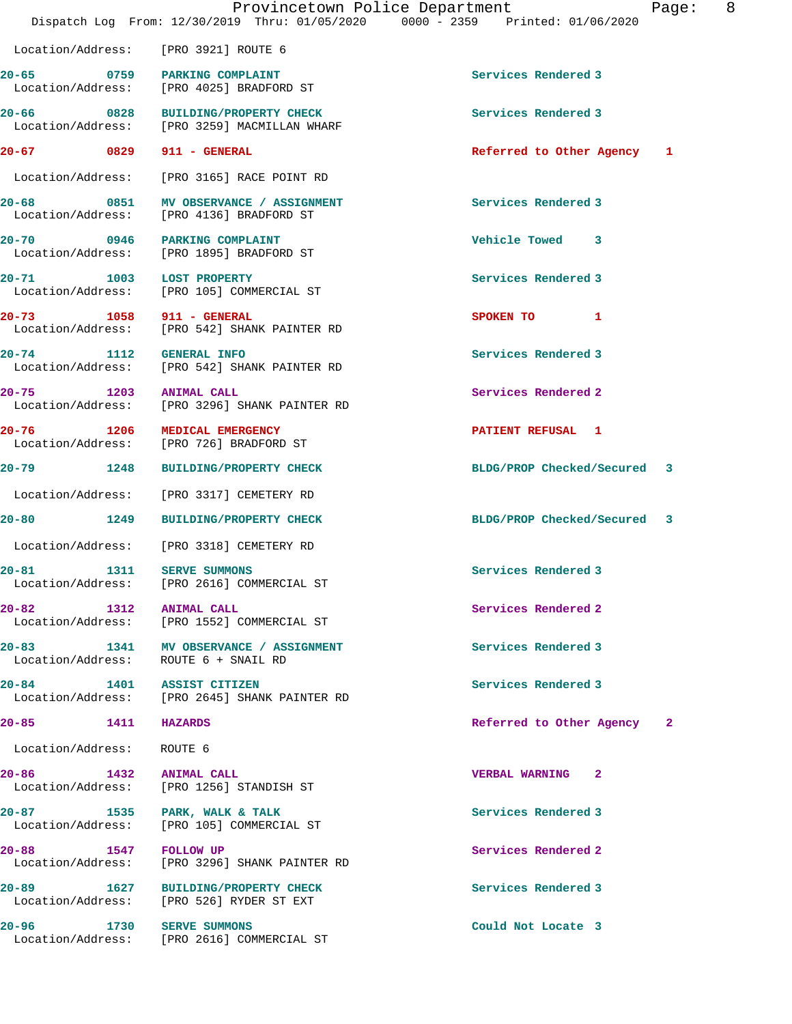|                                             | Provincetown Police Department<br>Dispatch Log From: 12/30/2019 Thru: 01/05/2020 0000 - 2359 Printed: 01/06/2020 |                             | Page: | 8 |
|---------------------------------------------|------------------------------------------------------------------------------------------------------------------|-----------------------------|-------|---|
| Location/Address: [PRO 3921] ROUTE 6        |                                                                                                                  |                             |       |   |
| 20-65                                       | 0759 PARKING COMPLAINT<br>Location/Address: [PRO 4025] BRADFORD ST                                               | Services Rendered 3         |       |   |
|                                             | 20-66 0828 BUILDING/PROPERTY CHECK<br>Location/Address: [PRO 3259] MACMILLAN WHARF                               | Services Rendered 3         |       |   |
| 20-67 0829 911 - GENERAL                    |                                                                                                                  | Referred to Other Agency 1  |       |   |
|                                             | Location/Address: [PRO 3165] RACE POINT RD                                                                       |                             |       |   |
|                                             | 20-68 0851 MV OBSERVANCE / ASSIGNMENT<br>Location/Address: [PRO 4136] BRADFORD ST                                | Services Rendered 3         |       |   |
| 20-70                                       | 0946 PARKING COMPLAINT<br>Location/Address: [PRO 1895] BRADFORD ST                                               | Vehicle Towed 3             |       |   |
| 20-71                                       | 20-71 1003 LOST PROPERTY<br>Location/Address: [PRO 105] COMMERCIAL ST                                            | Services Rendered 3         |       |   |
| 20-73 1058 911 - GENERAL                    | Location/Address: [PRO 542] SHANK PAINTER RD                                                                     | SPOKEN TO 1                 |       |   |
| 20-74 1112 GENERAL INFO                     | Location/Address: [PRO 542] SHANK PAINTER RD                                                                     | Services Rendered 3         |       |   |
| 20-75 1203 ANIMAL CALL                      | Location/Address: [PRO 3296] SHANK PAINTER RD                                                                    | Services Rendered 2         |       |   |
| $20 - 76$                                   | 1206 MEDICAL EMERGENCY<br>Location/Address: [PRO 726] BRADFORD ST                                                | PATIENT REFUSAL 1           |       |   |
|                                             | 20-79 1248 BUILDING/PROPERTY CHECK                                                                               | BLDG/PROP Checked/Secured 3 |       |   |
|                                             | Location/Address: [PRO 3317] CEMETERY RD                                                                         |                             |       |   |
|                                             | 20-80 1249 BUILDING/PROPERTY CHECK                                                                               | BLDG/PROP Checked/Secured 3 |       |   |
|                                             | Location/Address: [PRO 3318] CEMETERY RD                                                                         |                             |       |   |
| $20 - 81$<br>1311<br>Location/Address:      | <b>SERVE SUMMONS</b><br>[PRO 2616] COMMERCIAL ST                                                                 | Services Rendered 3         |       |   |
| $20 - 82$                                   | 1312 ANIMAL CALL<br>Location/Address: [PRO 1552] COMMERCIAL ST                                                   | Services Rendered 2         |       |   |
| Location/Address:                           | 20-83 1341 MV OBSERVANCE / ASSIGNMENT<br>ROUTE 6 + SNAIL RD                                                      | Services Rendered 3         |       |   |
| 20-84                                       | 1401 ASSIST CITIZEN<br>Location/Address: [PRO 2645] SHANK PAINTER RD                                             | Services Rendered 3         |       |   |
| 20-85 1411 HAZARDS                          |                                                                                                                  | Referred to Other Agency    | 2     |   |
| Location/Address: ROUTE 6                   |                                                                                                                  |                             |       |   |
| 20-86 1432 ANIMAL CALL<br>Location/Address: | [PRO 1256] STANDISH ST                                                                                           | <b>VERBAL WARNING 2</b>     |       |   |
| 20-87 1535 PARK, WALK & TALK                | Location/Address: [PRO 105] COMMERCIAL ST                                                                        | Services Rendered 3         |       |   |
| 20-88 1547<br>Location/Address:             | <b>FOLLOW UP</b><br>[PRO 3296] SHANK PAINTER RD                                                                  | Services Rendered 2         |       |   |
| 20-89                                       | 1627 BUILDING/PROPERTY CHECK<br>Location/Address: [PRO 526] RYDER ST EXT                                         | Services Rendered 3         |       |   |
| 20-96 1730 SERVE SUMMONS                    | Location/Address: [PRO 2616] COMMERCIAL ST                                                                       | Could Not Locate 3          |       |   |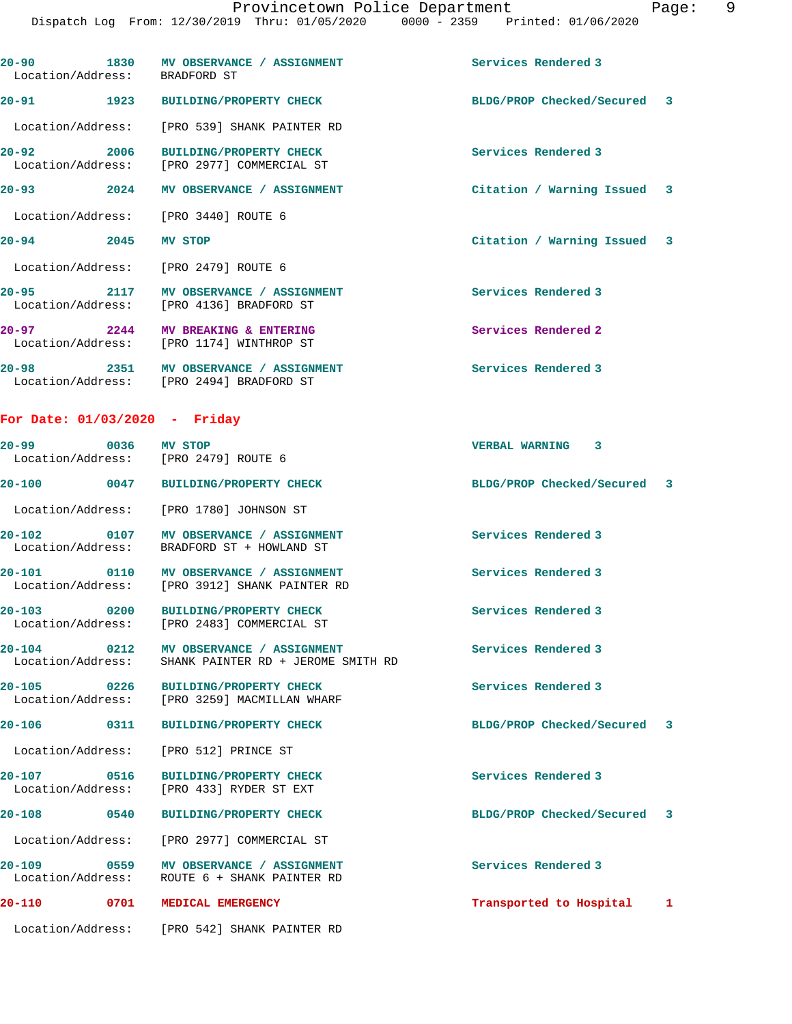| Location/Address: BRADFORD ST   | 20-90 1830 MV OBSERVANCE / ASSIGNMENT                                                          | Services Rendered 3         |  |
|---------------------------------|------------------------------------------------------------------------------------------------|-----------------------------|--|
|                                 | 20-91 1923 BUILDING/PROPERTY CHECK                                                             | BLDG/PROP Checked/Secured 3 |  |
|                                 | Location/Address: [PRO 539] SHANK PAINTER RD                                                   |                             |  |
| 20-92 2006                      | BUILDING/PROPERTY CHECK<br>Location/Address: [PRO 2977] COMMERCIAL ST                          | Services Rendered 3         |  |
|                                 | 20-93 2024 MV OBSERVANCE / ASSIGNMENT                                                          | Citation / Warning Issued 3 |  |
|                                 | Location/Address: [PRO 3440] ROUTE 6                                                           |                             |  |
| 20-94 2045 MV STOP              |                                                                                                | Citation / Warning Issued 3 |  |
|                                 | Location/Address: [PRO 2479] ROUTE 6                                                           |                             |  |
|                                 | 20-95 2117 MV OBSERVANCE / ASSIGNMENT<br>Location/Address: [PRO 4136] BRADFORD ST              | Services Rendered 3         |  |
|                                 | 20-97 2244 MV BREAKING & ENTERING<br>Location/Address: [PRO 1174] WINTHROP ST                  | Services Rendered 2         |  |
|                                 | 20-98 2351 MV OBSERVANCE / ASSIGNMENT<br>Location/Address: [PRO 2494] BRADFORD ST              | Services Rendered 3         |  |
| For Date: $01/03/2020$ - Friday |                                                                                                |                             |  |
| 20-99 0036 MV STOP              | Location/Address: [PRO 2479] ROUTE 6                                                           | <b>VERBAL WARNING 3</b>     |  |
|                                 | 20-100 0047 BUILDING/PROPERTY CHECK                                                            | BLDG/PROP Checked/Secured 3 |  |
|                                 | Location/Address: [PRO 1780] JOHNSON ST                                                        |                             |  |
|                                 | 20-102 0107 MV OBSERVANCE / ASSIGNMENT<br>Location/Address: BRADFORD ST + HOWLAND ST           | Services Rendered 3         |  |
|                                 | 20-101 0110 MV OBSERVANCE / ASSIGNMENT<br>Location/Address: [PRO 3912] SHANK PAINTER RD        | Services Rendered 3         |  |
|                                 | 20-103 0200 BUILDING/PROPERTY CHECK<br>Location/Address: [PRO 2483] COMMERCIAL ST              | Services Rendered 3         |  |
|                                 | 20-104 0212 MV OBSERVANCE / ASSIGNMENT<br>Location/Address: SHANK PAINTER RD + JEROME SMITH RD | Services Rendered 3         |  |
| 20-105 0226                     | <b>BUILDING/PROPERTY CHECK</b><br>Location/Address: [PRO 3259] MACMILLAN WHARF                 | Services Rendered 3         |  |
| $20 - 106$                      | 0311 BUILDING/PROPERTY CHECK                                                                   | BLDG/PROP Checked/Secured 3 |  |
|                                 | Location/Address: [PRO 512] PRINCE ST                                                          |                             |  |
| 20-107 0516                     | BUILDING/PROPERTY CHECK<br>Location/Address: [PRO 433] RYDER ST EXT                            | Services Rendered 3         |  |
| $20 - 108$<br>$\overline{0540}$ | <b>BUILDING/PROPERTY CHECK</b>                                                                 | BLDG/PROP Checked/Secured 3 |  |
|                                 | Location/Address: [PRO 2977] COMMERCIAL ST                                                     |                             |  |
| 20-109                          | 0559 MV OBSERVANCE / ASSIGNMENT<br>Location/Address: ROUTE 6 + SHANK PAINTER RD                | Services Rendered 3         |  |
| $20 - 110$                      | 0701 MEDICAL EMERGENCY                                                                         | Transported to Hospital 1   |  |
|                                 | Location/Address: [PRO 542] SHANK PAINTER RD                                                   |                             |  |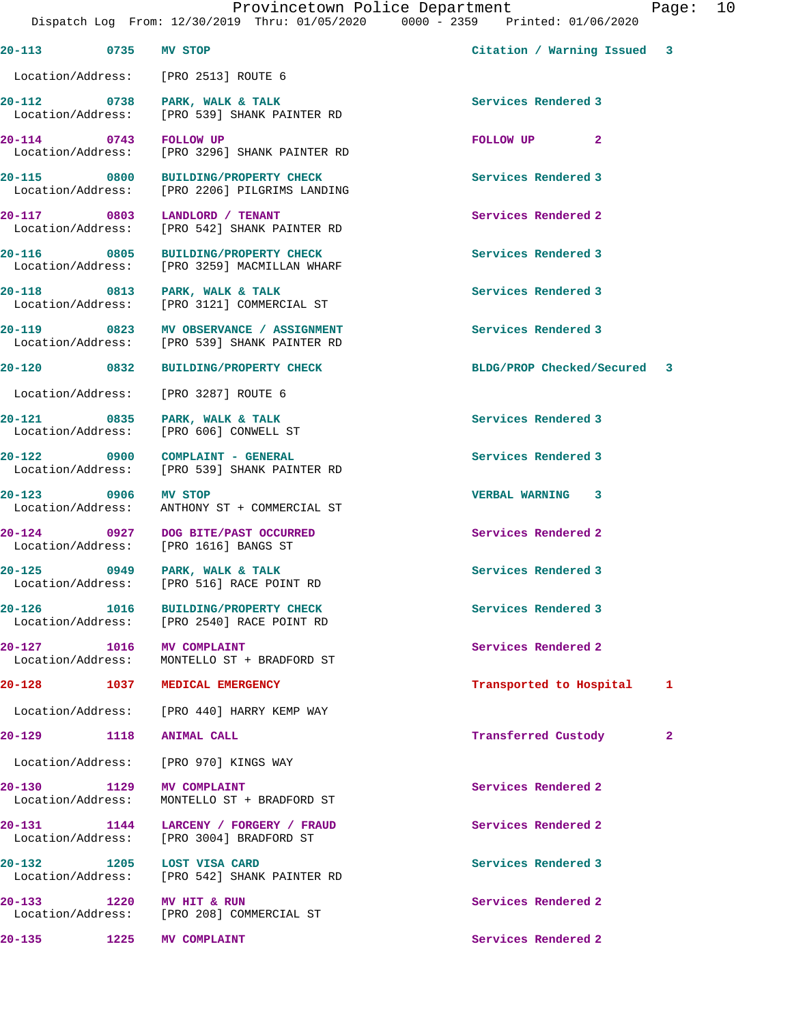|                                               |      | Dispatch Log From: 12/30/2019 Thru: 01/05/2020 0000 - 2359 Printed: 01/06/2020         |                             |              |
|-----------------------------------------------|------|----------------------------------------------------------------------------------------|-----------------------------|--------------|
| 20-113 0735 MV STOP                           |      |                                                                                        | Citation / Warning Issued 3 |              |
|                                               |      | Location/Address: [PRO 2513] ROUTE 6                                                   |                             |              |
|                                               |      | 20-112 0738 PARK, WALK & TALK<br>Location/Address: [PRO 539] SHANK PAINTER RD          | Services Rendered 3         |              |
| 20-114 0743 FOLLOW UP                         |      | Location/Address: [PRO 3296] SHANK PAINTER RD                                          | FOLLOW UP <sub>2</sub>      |              |
|                                               |      | 20-115 0800 BUILDING/PROPERTY CHECK<br>Location/Address: [PRO 2206] PILGRIMS LANDING   | Services Rendered 3         |              |
|                                               |      | 20-117 0803 LANDLORD / TENANT<br>Location/Address: [PRO 542] SHANK PAINTER RD          | Services Rendered 2         |              |
|                                               |      | 20-116 0805 BUILDING/PROPERTY CHECK<br>Location/Address: [PRO 3259] MACMILLAN WHARF    | Services Rendered 3         |              |
|                                               |      | 20-118 0813 PARK, WALK & TALK<br>Location/Address: [PRO 3121] COMMERCIAL ST            | Services Rendered 3         |              |
|                                               |      | 20-119 0823 MV OBSERVANCE / ASSIGNMENT<br>Location/Address: [PRO 539] SHANK PAINTER RD | Services Rendered 3         |              |
|                                               |      | 20-120 0832 BUILDING/PROPERTY CHECK                                                    | BLDG/PROP Checked/Secured 3 |              |
|                                               |      | Location/Address: [PRO 3287] ROUTE 6                                                   |                             |              |
|                                               |      | 20-121 0835 PARK, WALK & TALK<br>Location/Address: [PRO 606] CONWELL ST                | Services Rendered 3         |              |
|                                               |      | 20-122 0900 COMPLAINT - GENERAL<br>Location/Address: [PRO 539] SHANK PAINTER RD        | Services Rendered 3         |              |
| 20-123 0906 MV STOP                           |      | Location/Address: ANTHONY ST + COMMERCIAL ST                                           | <b>VERBAL WARNING 3</b>     |              |
|                                               |      | 20-124 0927 DOG BITE/PAST OCCURRED<br>Location/Address: [PRO 1616] BANGS ST            | Services Rendered 2         |              |
|                                               |      | 20-125 0949 PARK, WALK & TALK<br>Location/Address: [PRO 516] RACE POINT RD             | Services Rendered 3         |              |
| 20-126                                        | 1016 | <b>BUILDING/PROPERTY CHECK</b><br>Location/Address: [PRO 2540] RACE POINT RD           | Services Rendered 3         |              |
| 20-127 1016 MV COMPLAINT                      |      | Location/Address: MONTELLO ST + BRADFORD ST                                            | Services Rendered 2         |              |
|                                               |      | 20-128 1037 MEDICAL EMERGENCY                                                          | Transported to Hospital     | 1            |
|                                               |      | Location/Address: [PRO 440] HARRY KEMP WAY                                             |                             |              |
| 20-129                                        | 1118 | <b>ANIMAL CALL</b>                                                                     | Transferred Custody         | $\mathbf{2}$ |
| Location/Address:                             |      | [PRO 970] KINGS WAY                                                                    |                             |              |
| 20-130 1129 MV COMPLAINT<br>Location/Address: |      | MONTELLO ST + BRADFORD ST                                                              | Services Rendered 2         |              |
|                                               |      | 20-131 1144 LARCENY / FORGERY / FRAUD<br>Location/Address: [PRO 3004] BRADFORD ST      | Services Rendered 2         |              |
| 20-132                                        |      | $1205$ LOST VISA CARD<br>Location/Address: [PRO 542] SHANK PAINTER RD                  | Services Rendered 3         |              |
| 20-133 1220                                   |      | <b>MV HIT &amp; RUN</b><br>Location/Address: [PRO 208] COMMERCIAL ST                   | Services Rendered 2         |              |
| 20-135                                        | 1225 | <b>MV COMPLAINT</b>                                                                    | Services Rendered 2         |              |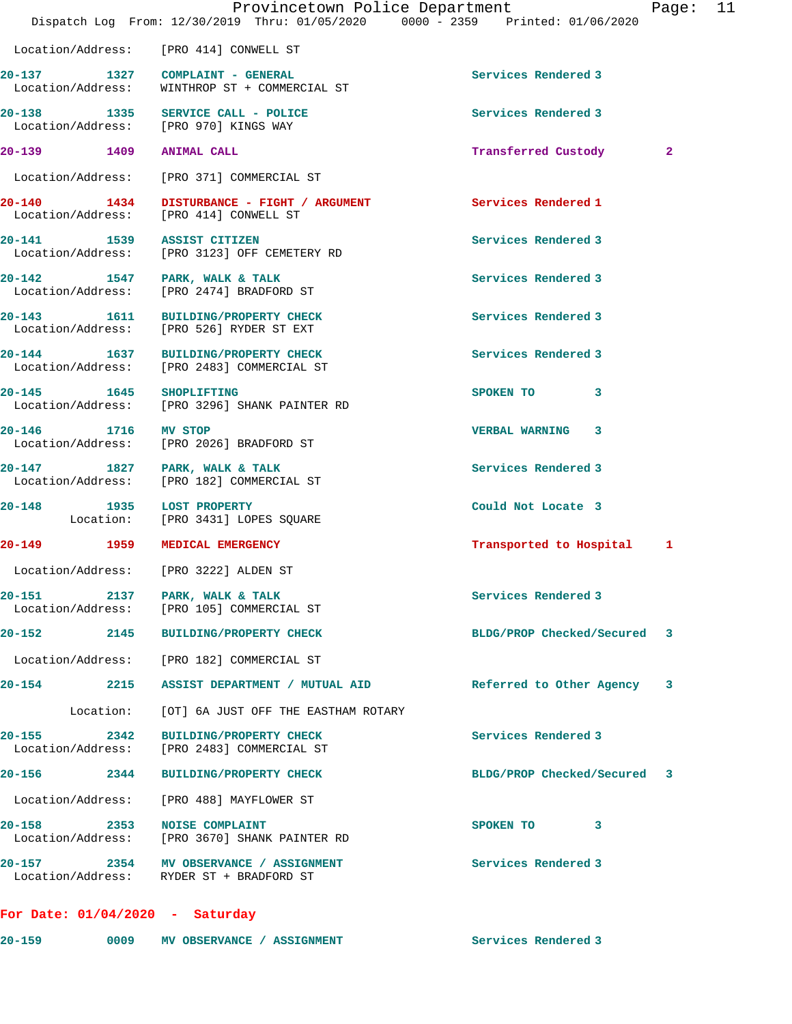|                                   | Provincetown Police Department<br>Dispatch Log From: 12/30/2019 Thru: 01/05/2020 0000 - 2359 Printed: 01/06/2020 |                             | Page: 11 |  |
|-----------------------------------|------------------------------------------------------------------------------------------------------------------|-----------------------------|----------|--|
|                                   | Location/Address: [PRO 414] CONWELL ST                                                                           |                             |          |  |
|                                   | 20-137 1327 COMPLAINT - GENERAL<br>Location/Address: WINTHROP ST + COMMERCIAL ST                                 | Services Rendered 3         |          |  |
|                                   | 20-138 1335 SERVICE CALL - POLICE<br>Location/Address: [PRO 970] KINGS WAY                                       | Services Rendered 3         |          |  |
| 20-139   1409   ANIMAL CALL       |                                                                                                                  | Transferred Custody         | 2        |  |
|                                   | Location/Address: [PRO 371] COMMERCIAL ST                                                                        |                             |          |  |
|                                   | 20-140 1434 DISTURBANCE - FIGHT / ARGUMENT<br>Location/Address: [PRO 414] CONWELL ST                             | Services Rendered 1         |          |  |
| 20-141 1539 ASSIST CITIZEN        | Location/Address: [PRO 3123] OFF CEMETERY RD                                                                     | Services Rendered 3         |          |  |
|                                   | 20-142 1547 PARK, WALK & TALK<br>Location/Address: [PRO 2474] BRADFORD ST                                        | Services Rendered 3         |          |  |
|                                   | 20-143 1611 BUILDING/PROPERTY CHECK<br>Location/Address: [PRO 526] RYDER ST EXT                                  | Services Rendered 3         |          |  |
|                                   | 20-144 1637 BUILDING/PROPERTY CHECK<br>Location/Address: [PRO 2483] COMMERCIAL ST                                | Services Rendered 3         |          |  |
| 20-145 1645 SHOPLIFTING           | Location/Address: [PRO 3296] SHANK PAINTER RD                                                                    | SPOKEN TO 3                 |          |  |
| 20-146 1716 MV STOP               | Location/Address: [PRO 2026] BRADFORD ST                                                                         | <b>VERBAL WARNING 3</b>     |          |  |
|                                   | 20-147 1827 PARK, WALK & TALK<br>Location/Address: [PRO 182] COMMERCIAL ST                                       | Services Rendered 3         |          |  |
|                                   | 20-148 1935 LOST PROPERTY<br>Location: [PRO 3431] LOPES SQUARE                                                   | Could Not Locate 3          |          |  |
|                                   | 20-149 1959 MEDICAL EMERGENCY                                                                                    | Transported to Hospital     | 1        |  |
|                                   | Location/Address: [PRO 3222] ALDEN ST                                                                            |                             |          |  |
| $20 - 151$                        | 2137 PARK, WALK & TALK<br>Location/Address: [PRO 105] COMMERCIAL ST                                              | Services Rendered 3         |          |  |
|                                   | 20-152 2145 BUILDING/PROPERTY CHECK                                                                              | BLDG/PROP Checked/Secured   | 3        |  |
|                                   | Location/Address: [PRO 182] COMMERCIAL ST                                                                        |                             |          |  |
| 20-154 2215                       | ASSIST DEPARTMENT / MUTUAL AID                                                                                   | Referred to Other Agency    | -3       |  |
| Location:                         | [OT] 6A JUST OFF THE EASTHAM ROTARY                                                                              |                             |          |  |
| 20-155 2342<br>Location/Address:  | <b>BUILDING/PROPERTY CHECK</b><br>[PRO 2483] COMMERCIAL ST                                                       | Services Rendered 3         |          |  |
|                                   | 20-156 2344 BUILDING/PROPERTY CHECK                                                                              | BLDG/PROP Checked/Secured 3 |          |  |
|                                   | Location/Address: [PRO 488] MAYFLOWER ST                                                                         |                             |          |  |
| 20-158 2353                       | <b>NOISE COMPLAINT</b><br>Location/Address: [PRO 3670] SHANK PAINTER RD                                          | SPOKEN TO 3                 |          |  |
|                                   | 20-157 2354 MV OBSERVANCE / ASSIGNMENT<br>Location/Address: RYDER ST + BRADFORD ST                               | Services Rendered 3         |          |  |
| For Date: $01/04/2020$ - Saturday |                                                                                                                  |                             |          |  |

**20-159 0009 MV OBSERVANCE / ASSIGNMENT Services Rendered 3**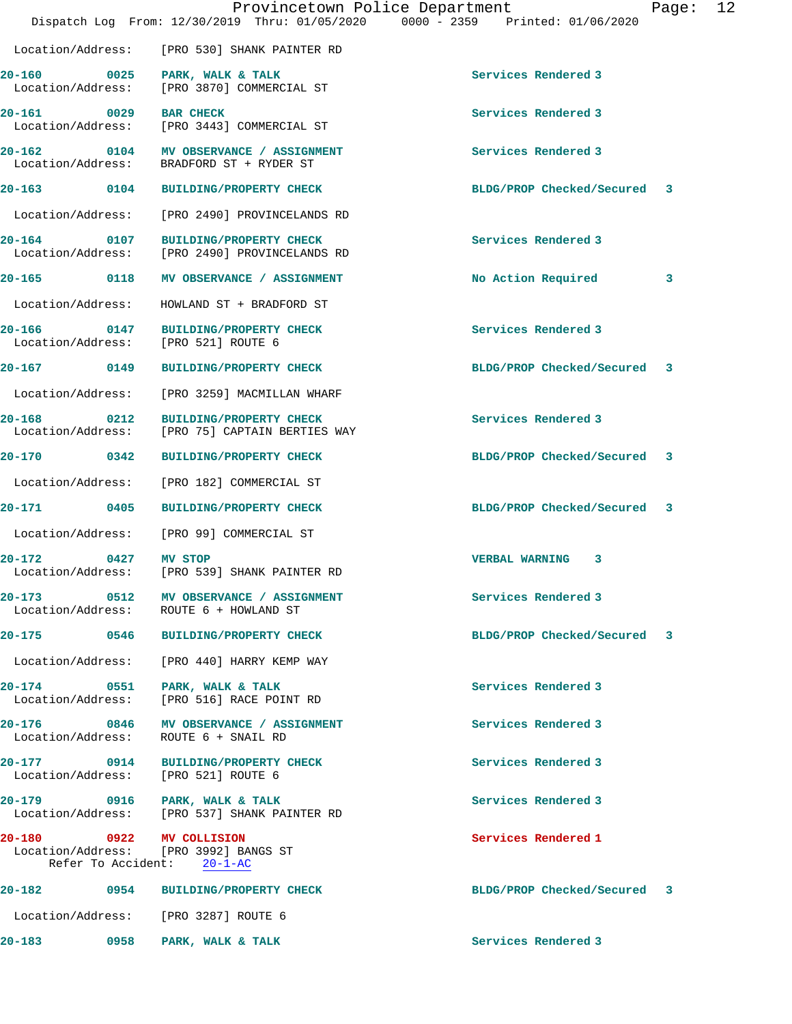|                                                      |                                                                                  | Provincetown Police Department<br>Dispatch Log From: 12/30/2019 Thru: 01/05/2020 0000 - 2359 Printed: 01/06/2020 | Page: | 12 |
|------------------------------------------------------|----------------------------------------------------------------------------------|------------------------------------------------------------------------------------------------------------------|-------|----|
|                                                      | Location/Address: [PRO 530] SHANK PAINTER RD                                     |                                                                                                                  |       |    |
| 20-160<br>0025<br>Location/Address:                  | PARK, WALK & TALK<br>[PRO 3870] COMMERCIAL ST                                    | Services Rendered 3                                                                                              |       |    |
| 20-161                                               | 0029 BAR CHECK<br>Location/Address: [PRO 3443] COMMERCIAL ST                     | Services Rendered 3                                                                                              |       |    |
| 0104<br>$20 - 162$<br>Location/Address:              | MV OBSERVANCE / ASSIGNMENT<br>BRADFORD ST + RYDER ST                             | Services Rendered 3                                                                                              |       |    |
| 20-163 0104                                          | <b>BUILDING/PROPERTY CHECK</b>                                                   | BLDG/PROP Checked/Secured                                                                                        | 3     |    |
| Location/Address:                                    | [PRO 2490] PROVINCELANDS RD                                                      |                                                                                                                  |       |    |
| 20-164 0107<br>Location/Address:                     | <b>BUILDING/PROPERTY CHECK</b><br>[PRO 2490] PROVINCELANDS RD                    | Services Rendered 3                                                                                              |       |    |
| $20 - 165$<br>0118                                   | MV OBSERVANCE / ASSIGNMENT                                                       | No Action Required                                                                                               | 3     |    |
| Location/Address:                                    | HOWLAND ST + BRADFORD ST                                                         |                                                                                                                  |       |    |
| Location/Address:                                    | 20-166 0147 BUILDING/PROPERTY CHECK<br>[PRO 521] ROUTE 6                         | Services Rendered 3                                                                                              |       |    |
| 20-167 0149                                          | <b>BUILDING/PROPERTY CHECK</b>                                                   | BLDG/PROP Checked/Secured                                                                                        | 3     |    |
| Location/Address:                                    | [PRO 3259] MACMILLAN WHARF                                                       |                                                                                                                  |       |    |
| $20 - 168$<br>$\overline{0212}$<br>Location/Address: | <b>BUILDING/PROPERTY CHECK</b><br>[PRO 75] CAPTAIN BERTIES WAY                   | Services Rendered 3                                                                                              |       |    |
| 20-170<br>$\overline{\text{0342}}$                   | <b>BUILDING/PROPERTY CHECK</b>                                                   | BLDG/PROP Checked/Secured                                                                                        | 3     |    |
| Location/Address:                                    | [PRO 182] COMMERCIAL ST                                                          |                                                                                                                  |       |    |
| 20-171 0405                                          | <b>BUILDING/PROPERTY CHECK</b>                                                   | BLDG/PROP Checked/Secured                                                                                        | 3     |    |
|                                                      | Location/Address: [PRO 99] COMMERCIAL ST                                         |                                                                                                                  |       |    |
| 20-172<br>0427 MV STOP                               | Location/Address: [PRO 539] SHANK PAINTER RD                                     | <b>VERBAL WARNING</b><br>3                                                                                       |       |    |
|                                                      | 20-173 0512 MV OBSERVANCE / ASSIGNMENT<br>Location/Address: ROUTE 6 + HOWLAND ST | Services Rendered 3                                                                                              |       |    |
|                                                      | 20-175 0546 BUILDING/PROPERTY CHECK                                              | BLDG/PROP Checked/Secured                                                                                        | 3     |    |
| Location/Address:                                    | [PRO 440] HARRY KEMP WAY                                                         |                                                                                                                  |       |    |
| 20-174<br>Location/Address:                          | 0551 PARK, WALK & TALK<br>[PRO 516] RACE POINT RD                                | Services Rendered 3                                                                                              |       |    |
|                                                      | 20-176 0846 MV OBSERVANCE / ASSIGNMENT<br>Location/Address: ROUTE 6 + SNAIL RD   | Services Rendered 3                                                                                              |       |    |
| 20-177                                               | 0914 BUILDING/PROPERTY CHECK<br>Location/Address: [PRO 521] ROUTE 6              | Services Rendered 3                                                                                              |       |    |
| 20-179                                               | 0916 PARK, WALK & TALK<br>Location/Address: [PRO 537] SHANK PAINTER RD           | Services Rendered 3                                                                                              |       |    |
| 20-180 0922 MV COLLISION                             | Location/Address: [PRO 3992] BANGS ST<br>Refer To Accident: 20-1-AC              | Services Rendered 1                                                                                              |       |    |
| 20-182                                               | 0954 BUILDING/PROPERTY CHECK                                                     | BLDG/PROP Checked/Secured 3                                                                                      |       |    |
|                                                      | Location/Address: [PRO 3287] ROUTE 6                                             |                                                                                                                  |       |    |

**20-183 0958 PARK, WALK & TALK Services Rendered 3**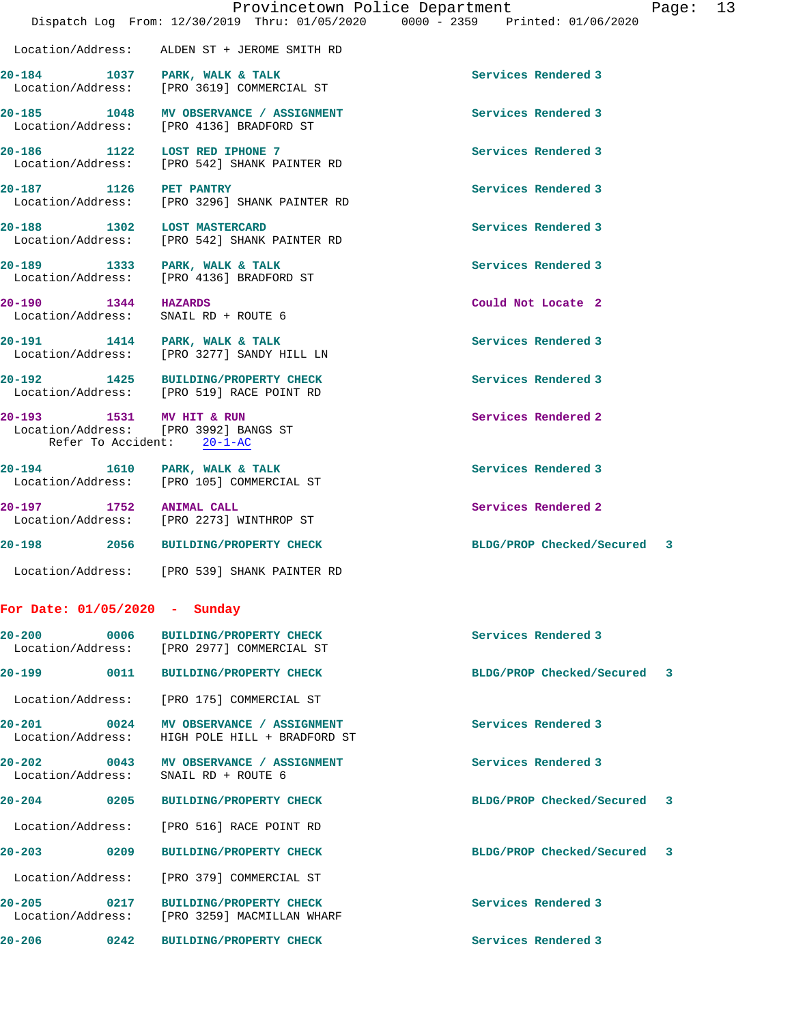|                          |                                                                                    | Provincetown Police Department<br>Page: 13<br>Dispatch Log From: 12/30/2019 Thru: 01/05/2020 0000 - 2359 Printed: 01/06/2020 |  |
|--------------------------|------------------------------------------------------------------------------------|------------------------------------------------------------------------------------------------------------------------------|--|
|                          |                                                                                    |                                                                                                                              |  |
| Location/Address:        | ALDEN ST + JEROME SMITH RD                                                         |                                                                                                                              |  |
|                          | 20-184 1037 PARK, WALK & TALK<br>Location/Address: [PRO 3619] COMMERCIAL ST        | Services Rendered 3                                                                                                          |  |
|                          | 20-185 1048 MV OBSERVANCE / ASSIGNMENT<br>Location/Address: [PRO 4136] BRADFORD ST | Services Rendered 3                                                                                                          |  |
|                          | 20-186 1122 LOST RED IPHONE 7<br>Location/Address: [PRO 542] SHANK PAINTER RD      | Services Rendered 3                                                                                                          |  |
| 20-187 1126 PET PANTRY   | Location/Address: [PRO 3296] SHANK PAINTER RD                                      | Services Rendered 3                                                                                                          |  |
|                          | 20-188 1302 LOST MASTERCARD<br>Location/Address: [PRO 542] SHANK PAINTER RD        | Services Rendered 3                                                                                                          |  |
|                          | 20-189 1333 PARK, WALK & TALK<br>Location/Address: [PRO 4136] BRADFORD ST          | Services Rendered 3                                                                                                          |  |
| 20-190 1344 HAZARDS      | Location/Address: SNAIL RD + ROUTE 6                                               | Could Not Locate 2                                                                                                           |  |
|                          | 20-191 1414 PARK, WALK & TALK<br>Location/Address: [PRO 3277] SANDY HILL LN        | Services Rendered 3                                                                                                          |  |
|                          | 20-192 1425 BUILDING/PROPERTY CHECK<br>Location/Address: [PRO 519] RACE POINT RD   | Services Rendered 3                                                                                                          |  |
| 20-193 1531 MV HIT & RUN | Location/Address: [PRO 3992] BANGS ST<br>Refer To Accident: 20-1-AC                | Services Rendered 2                                                                                                          |  |
|                          | 20-194 1610 PARK, WALK & TALK<br>Location/Address: [PRO 105] COMMERCIAL ST         | Services Rendered 3                                                                                                          |  |
| 20-197 1752 ANIMAL CALL  | Location/Address: [PRO 2273] WINTHROP ST                                           | Services Rendered 2                                                                                                          |  |
|                          | 20-198 2056 BUILDING/PROPERTY CHECK                                                | BLDG/PROP Checked/Secured 3                                                                                                  |  |
| Location/Address:        | [PRO 539] SHANK PAINTER RD                                                         |                                                                                                                              |  |

## **For Date: 01/05/2020 - Sunday**

|                                                |                   | 20-200 0006 BUILDING/PROPERTY CHECK<br>Location/Address: [PRO 2977] COMMERCIAL ST   | Services Rendered 3         |
|------------------------------------------------|-------------------|-------------------------------------------------------------------------------------|-----------------------------|
| $20 - 199$                                     | 0011              | <b>BUILDING/PROPERTY CHECK</b>                                                      | BLDG/PROP Checked/Secured 3 |
|                                                |                   | Location/Address: [PRO 175] COMMERCIAL ST                                           |                             |
| $20 - 201$ 0024                                |                   | MV OBSERVANCE / ASSIGNMENT<br>Location/Address: HIGH POLE HILL + BRADFORD ST        | Services Rendered 3         |
| $20 - 202$<br>$\sim$ 0043<br>Location/Address: |                   | MV OBSERVANCE / ASSIGNMENT<br>SNAIL RD + ROUTE 6                                    | Services Rendered 3         |
| $20 - 204$                                     | $\sim$ 0205       | <b>BUILDING/PROPERTY CHECK</b>                                                      | BLDG/PROP Checked/Secured 3 |
|                                                |                   | Location/Address: [PRO 516] RACE POINT RD                                           |                             |
| $20 - 203$                                     | $\sim$ 0209       | <b>BUILDING/PROPERTY CHECK</b>                                                      | BLDG/PROP Checked/Secured 3 |
|                                                |                   | Location/Address: [PRO 379] COMMERCIAL ST                                           |                             |
|                                                |                   | 20-205 0217 BUILDING/PROPERTY CHECK<br>Location/Address: [PRO 3259] MACMILLAN WHARF | Services Rendered 3         |
| $20 - 206$                                     | $\overline{0242}$ | <b>BUILDING/PROPERTY CHECK</b>                                                      | Services Rendered 3         |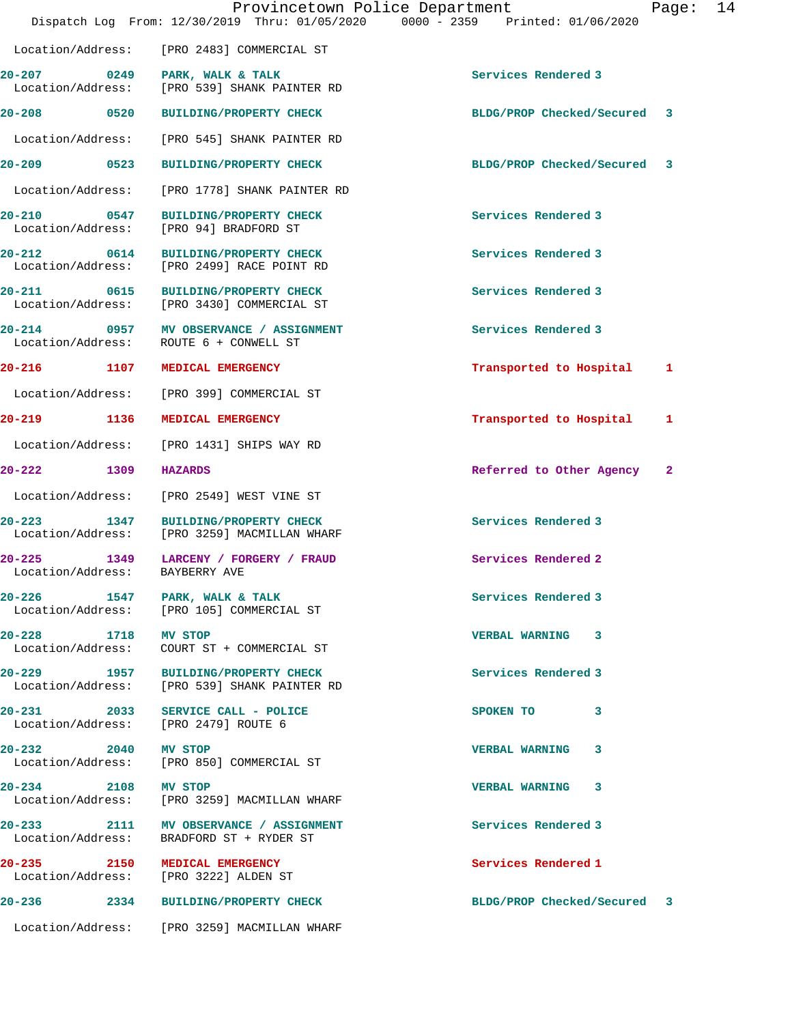|                                 |      | Provincetown Police Department<br>Dispatch Log From: 12/30/2019 Thru: 01/05/2020 0000 - 2359 Printed: 01/06/2020 |                             | Page: | 14 |
|---------------------------------|------|------------------------------------------------------------------------------------------------------------------|-----------------------------|-------|----|
|                                 |      | Location/Address: [PRO 2483] COMMERCIAL ST                                                                       |                             |       |    |
| 20-207<br>Location/Address:     |      | 0249 PARK, WALK & TALK<br>[PRO 539] SHANK PAINTER RD                                                             | Services Rendered 3         |       |    |
| 20-208 0520                     |      | <b>BUILDING/PROPERTY CHECK</b>                                                                                   | BLDG/PROP Checked/Secured   | 3     |    |
| Location/Address:               |      | [PRO 545] SHANK PAINTER RD                                                                                       |                             |       |    |
| $20 - 209$ 0523                 |      | <b>BUILDING/PROPERTY CHECK</b>                                                                                   | BLDG/PROP Checked/Secured 3 |       |    |
| Location/Address:               |      | [PRO 1778] SHANK PAINTER RD                                                                                      |                             |       |    |
| 20-210<br>Location/Address:     | 0547 | <b>BUILDING/PROPERTY CHECK</b><br>[PRO 94] BRADFORD ST                                                           | Services Rendered 3         |       |    |
| Location/Address:               |      | 20-212 0614 BUILDING/PROPERTY CHECK<br>[PRO 2499] RACE POINT RD                                                  | Services Rendered 3         |       |    |
| 20-211                          |      | 0615 BUILDING/PROPERTY CHECK<br>Location/Address: [PRO 3430] COMMERCIAL ST                                       | Services Rendered 3         |       |    |
| Location/Address:               |      | 20-214 0957 MV OBSERVANCE / ASSIGNMENT<br>ROUTE 6 + CONWELL ST                                                   | Services Rendered 3         |       |    |
| 20-216 1107                     |      | <b>MEDICAL EMERGENCY</b>                                                                                         | Transported to Hospital     | 1     |    |
| Location/Address:               |      | [PRO 399] COMMERCIAL ST                                                                                          |                             |       |    |
| 20-219<br>1136                  |      | MEDICAL EMERGENCY                                                                                                | Transported to Hospital     | 1     |    |
| Location/Address:               |      | [PRO 1431] SHIPS WAY RD                                                                                          |                             |       |    |
| 20-222                          | 1309 | <b>HAZARDS</b>                                                                                                   | Referred to Other Agency    | 2     |    |
| Location/Address:               |      | [PRO 2549] WEST VINE ST                                                                                          |                             |       |    |
| $20 - 223$<br>Location/Address: | 1347 | <b>BUILDING/PROPERTY CHECK</b><br>[PRO 3259] MACMILLAN WHARF                                                     | Services Rendered 3         |       |    |
| 20-225<br>Location/Address:     |      | 1349 LARCENY / FORGERY / FRAUD<br>BAYBERRY AVE                                                                   | Services Rendered 2         |       |    |
|                                 |      | 20-226 1547 PARK, WALK & TALK<br>Location/Address: [PRO 105] COMMERCIAL ST                                       | Services Rendered 3         |       |    |
| 20-228 1718                     |      | <b>MV STOP</b>                                                                                                   | VERBAL WARNING 3            |       |    |
|                                 |      | 20-229 1957 BUILDING/PROPERTY CHECK<br>Location/Address: [PRO 539] SHANK PAINTER RD                              | Services Rendered 3         |       |    |
|                                 |      | 20-231 2033 SERVICE CALL - POLICE<br>Location/Address: [PRO 2479] ROUTE 6                                        | SPOKEN TO<br>3              |       |    |
| 20-232 2040 MV STOP             |      | Location/Address: [PRO 850] COMMERCIAL ST                                                                        | VERBAL WARNING 3            |       |    |
| 20-234 2108 MV STOP             |      | Location/Address: [PRO 3259] MACMILLAN WHARF                                                                     | VERBAL WARNING 3            |       |    |
|                                 |      | 20-233 2111 MV OBSERVANCE / ASSIGNMENT<br>Location/Address: BRADFORD ST + RYDER ST                               | Services Rendered 3         |       |    |
|                                 |      | 20-235 2150 MEDICAL EMERGENCY<br>Location/Address: [PRO 3222] ALDEN ST                                           | Services Rendered 1         |       |    |
|                                 |      | 20-236 2334 BUILDING/PROPERTY CHECK                                                                              | BLDG/PROP Checked/Secured 3 |       |    |
|                                 |      | Location/Address: [PRO 3259] MACMILLAN WHARF                                                                     |                             |       |    |